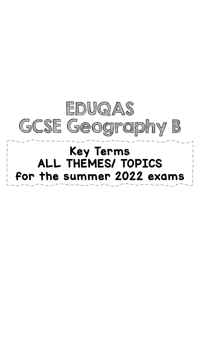

# Key Terms ALL THEMES/ TOPICS for the summer 2022 exams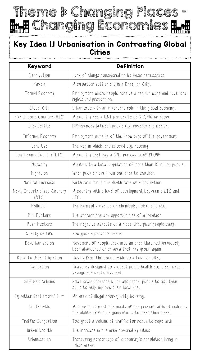Theme 1: Changing Places - **T** Changing Economies T n.<br>Dila

#### Key Idea 1.1 Urbanisation in Contrasting Global **Cities**

| Keyword                               | <b>Definition</b>                                                                                                     |
|---------------------------------------|-----------------------------------------------------------------------------------------------------------------------|
| Deprivation                           | Lack of things considered to be basic necessities.                                                                    |
| Favela                                | A squatter settlement in a Brazilian City.                                                                            |
| Formal Economy                        | Employment where people receive a regular wage and have legal<br>rights and protection.                               |
| Global City                           | Urban area with an important role in the global economy.                                                              |
| High Income Country (HIC)             | A country has a GNI per capita of \$12,746 or above.                                                                  |
| Inequalities                          | Differences between people e.g. poverty and wealth.                                                                   |
| Informal Economy                      | Employment outside of the knowledge of the government.                                                                |
| Land Use                              | The way in which land is used e.g. housing                                                                            |
| Low income Country (LIC)              | A country that has a GNI per capita of \$1,045                                                                        |
| Megacity                              | A city with a total population of more than IO million people.                                                        |
| Migration                             | When people move from one area to another.                                                                            |
| Natural Increase                      | Birth rate minus the death rate of a population.                                                                      |
| Newly Industrialised Country<br>(NIC) | A country with a level of development between a LIC and<br>HIC.                                                       |
| Pollution                             | The harmful presence of chemicals, noise, dirt etc.                                                                   |
| Pull Factors                          | The attractions and opportunities of a location.                                                                      |
| Push Factors                          | The negative aspects of a place that push people away.                                                                |
| Quality of Life                       | How good a person's life is.                                                                                          |
| Re-urbanisation                       | Movement of people back into an area that had previously<br>been abandoned or an area that has grown again.           |
| Rural to Urban Migration              | Moving from the countryside to a town or city,                                                                        |
| Sanitation                            | Measures designed to protect public health e.g. clean water,<br>sewage and waste disposal.                            |
| Self-Help Scheme                      | Small-scale projects which allow local people to use their<br>skills to help improve their local area.                |
| Squatter Settlement/Slum              | An area of illegal poor-quality housing.                                                                              |
| Sustainable                           | Actions that meet the needs of the present without reducing<br>the ability of future generations to meet their needs. |
| Traffic Congestion                    | Too great a volume of traffic for roads to cope with.                                                                 |
| Urban Growth                          | The increase in the area covered by cities.                                                                           |
| Urbanisation                          | Increasing percentage of a country's population living in<br>urban areas.                                             |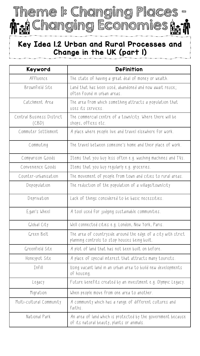Theme 1: Changing Places n: A Changing Economies A. n

#### Key Idea 1.2 Urban and Rural Processes and Change in the UK (part 1)

| Keyword                            | <b>Definition</b>                                                                                              |
|------------------------------------|----------------------------------------------------------------------------------------------------------------|
| Affluence                          | The state of having a great deal of money or wealth.                                                           |
| Brownfield Site                    | Land that has been used, abandoned and now await reuse;<br>often found in urban areas.                         |
| Catchment Area                     | The area from which something attracts a population that<br>uses its services.                                 |
| Central Business District<br>(CBD) | The commercial centre of a town/city. Where there will be<br>shops, offices etc.                               |
| Commuter Settlement                | A place where people live and travel elsewhere for work.                                                       |
| Commuting                          | The travel between someone's home and their place of work.                                                     |
| Comparison Goods                   | Items that you buy less often e.g. washing machines and TVs.                                                   |
| Convenience Goods                  | Items that you buy regularly e.g. groceries.                                                                   |
| Counter-urbanisation               | The movement of people from town and cities to rural areas.                                                    |
| Depopulation                       | The reduction of the population of a village/town/city                                                         |
| Deprivation                        | Lack of things considered to be basic necessities.                                                             |
| Egan's Wheel                       | A tool used for judging sustainable communities.                                                               |
| Global City                        | Well connected cities e.g. London, New York, Paris.                                                            |
| Green Belt                         | The area of countryside around the edge of a city with strict<br>planning controls to stop houses being built. |
| Greenfield Site                    | A plot of land that has not been built on before.                                                              |
| Honeypot Site                      | A place of special interest that attracts many tourists.                                                       |
| Infill                             | Using vacant land in an urban area to build new developments<br>of housing.                                    |
| Legacy                             | Future benefits created by an investment e.g. Olympic Legacy.                                                  |
| Migration                          | When people move from one area to another.                                                                     |
| Multi-cultural Community           | A community which has a range of different cultures and<br>faiths.                                             |
| National Park                      | An area of land which is protected by the government because<br>of its natural beauty, plants or animals.      |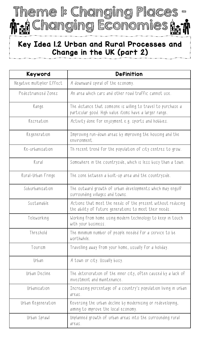

#### Key Idea 1.2 Urban and Rural Processes and Change in the UK (part 2)

| Keyword                    | <b>Definition</b>                                                                                                      |
|----------------------------|------------------------------------------------------------------------------------------------------------------------|
| Negative multiplier Effect | A downward spiral of the economy.                                                                                      |
| Pedestrianised Zones       | An area which cars and other road traffic cannot use.                                                                  |
| Range                      | The distance that someone is willing to travel to purchase a<br>particular good. High value items have a larger range. |
| Recreation                 | Activity done for enjoyment e.g. sports and hobbies.                                                                   |
| Regeneration               | Improving run-down areas by improving the housing and the<br>environment.                                              |
| Re-urbanisation            | Th recent trend for the population of city centres to grow.                                                            |
| Rural                      | Somewhere in the countryside, which is less busy than a town.                                                          |
| Rural-Urban Fringe         | The zone between a built-up area and the countryside.                                                                  |
| Suburbanisation            | The outward growth of urban developments which may engulf<br>surrounding villages and towns.                           |
| Sustainable                | Actions that meet the needs of the present without reducing<br>the ability of future generations to meet their needs.  |
| Teleworking                | Working from home using modern technology to keep in touch<br>with your business.                                      |
| Threshold                  | The minimum number of people needed for a service to be<br>worthwhile.                                                 |
| Tourism                    | Travelling away from your home, usually for a holiday.                                                                 |
| Urban                      | A town or city. Usually busy.                                                                                          |
| Urban Decline              | The deterioration of the inner city, often caused by a lack of<br>investment and maintenance.                          |
| Urbanisation               | Increasing percentage of a country's population living in urban<br>areas.                                              |
| Urban Regeneration         | Reversing the urban decline by modernising or redeveloping,<br>aiming to improve the local economy.                    |
| Urban Sprawl               | Unplanned growth of urban areas into the surrounding rural<br>areas.                                                   |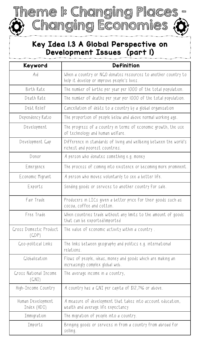### Key Idea 1.3 A Global Perspective on Development Issues (part 1)

Changing Economies

Theme 1: Changing Places,

| Keyword                          | <b>Definition</b>                                                                                           |
|----------------------------------|-------------------------------------------------------------------------------------------------------------|
| Aid                              | When a country or NGO donates resources to another country to<br>help it develop or improve people's lives. |
| Birth Rate                       | The number of births per year per 1000 of the total population.                                             |
| Death Rate                       | The number of deaths per year per 1000 of the total population.                                             |
| Debt Relief                      | Cancellation of debts to a country by a global organisation                                                 |
| Dependency Ratio                 | The proportion of people below and above normal working age.                                                |
| Development                      | The progress of a country in terms of economic growth, the use<br>of technology and human welfare.          |
| Development Gap                  | Difference in standards of living and wellbeing between the world's<br>richest and poorest countries.       |
| Donor                            | A person who donates something e.g. money                                                                   |
| Emergence                        | The process of coming into existence or becoming more prominent.                                            |
| Economic Migrant                 | A person who moves voluntarily to see a better life.                                                        |
| Exports                          | Sending goods or services to another country for sale.                                                      |
| Fair Trade                       | Producers in LICs given a better price for their goods such as<br>cocoa, coffee and cotton.                 |
| Free Trade                       | When countries trade without any limits to the amount of goods<br>that can be exported/imported             |
| Gross Domestic Product<br>(GDP)  | The value of economic activity within a country.                                                            |
| Geo-political Links              | The links between geography and politics e.g. international<br>relations.                                   |
| Globalisation                    | Flows of people, ideas, money and goods which are making an<br>increasingly complex global web.             |
| Gross National Income<br>(GNI)   | The average income in a country,                                                                            |
| High-Income Country              | A country has a GNI per capita of \$12,746 or above.                                                        |
| Human Development<br>Index (HDI) | A measure of development that takes into account education,<br>wealth and average life expectancy           |
| Immigration                      | The migration of people into a country.                                                                     |
| Imports                          | Bringing goods or services in from a country from abroad for<br>selling.                                    |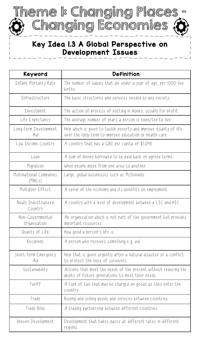

#### Key Idea 1.3 A Global Perspective on Development Issues

| Keyword                           | <b>Definition</b>                                                                                                            |
|-----------------------------------|------------------------------------------------------------------------------------------------------------------------------|
| Infant Mortality Rate             | The number of babies that die under a year of age, per 1000 live<br>births.                                                  |
| Infrastructure                    | The basic structures and services needed by any society.                                                                     |
| Investment                        | The action of process of putting in money, usually for profit.                                                               |
| Life Expectancy                   | The average number of years a person is expected to live.                                                                    |
| Long-term Development<br>Aid      | Help which is given to tackle poverty and improve quality of life<br>over the long-term to improve education or health care. |
| Low Income Country                | A country that has a GNI per capita of \$1,045                                                                               |
| Loan                              | A sum of money borrowed to be paid back on agreed terms.                                                                     |
| Migration                         | When people move from one area to another.                                                                                   |
| Multinational Companies<br>(MNCs) | Large, global businesses such as McDonalds.                                                                                  |
| Multiplier Effect                 | A spiral of the economy and its benefits on employment.                                                                      |
| Newly Industrialised<br>Country   | A country with a level of development between a LIC and HIC.                                                                 |
| Non-Governmental<br>Organisation  | An organisation which is not part of the government but provides<br>important resources.                                     |
| Quality of Life                   | How good a person's life is.                                                                                                 |
| Recipient                         | A person who receives something e.g. aid                                                                                     |
| Short-term Emergency<br>Aid       | Help that is given urgently after a natural disaster or a conflict<br>to protect the lives of survivors.                     |
| Sustainability                    | Actions that meet the needs of the present without reducing the<br>ability of future generations to meet their needs.        |
| Tariff                            | A type of tax that may be charged on goods as they enter the<br>country.                                                     |
| Trade                             | Buying and selling goods and services between countries.                                                                     |
| Trade Bloc                        | A trading partnership between different countries.                                                                           |
| Uneven Development                | Development that takes paces at different rates in different<br>regions.                                                     |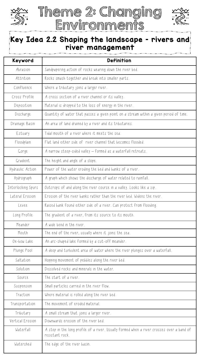



#### Key Idea 2.2 Shaping the landscape – rivers and river management

| Keyword            | <b>Definition</b>                                                                                            |
|--------------------|--------------------------------------------------------------------------------------------------------------|
| Abrasion           | Sandpapering action of rocks wearing down the river bed.                                                     |
| Attrition          | Rocks smash together and break into smaller parts.                                                           |
| Confluence         | Where a tributary joins a larger river.                                                                      |
| Cross Profile      | A cross section of a river channel or its valley.                                                            |
| Deposition         | Material is dropped to the loss of energy in the river.                                                      |
| Discharge          | Quantity of water that passes a given point on a stream within a given period of time.                       |
| Drainage Basin     | An area of land drained by a river and its tributaries.                                                      |
| Estuary            | Tidal mouth of a river where it meets the sea.                                                               |
| Floodplain         | Flat land either side of river channel that becomes flooded.                                                 |
| Gorge              | A narrow steep-sided valley – formed as a waterfall retreats.                                                |
| Gradient           | The height and angle of a slope.                                                                             |
| Hydraulic Action   | Power of the water eroding the bed and banks of a river.                                                     |
| Hydrograph         | A graph which shows the discharge of water related to rainfall.                                              |
| Interlocking Spurs | Outcrops of and along the river course in a valley. Looks like a zip.                                        |
| Lateral Erosion    | Erosion of the river banks rather than the river bed. Widens the river.                                      |
| Levee              | Raised bank found either side of a river. Can protect from flooding.                                         |
| Long Profile       | The gradient of a river, from its source to its mouth.                                                       |
| Meander            | A wide bend in the river.                                                                                    |
| Mouth              | The end of the river, usually where it joins the sea.                                                        |
| Ox-bow Lake        | An arc-shaped lake formed by a cut-off meander.                                                              |
| Plunge Pool        | A deep and turbulent area of water where the river plunges over a waterfall.                                 |
| Saltation          | Hopping movement of pebbles along the river bed.                                                             |
| Solution           | Dissolved rocks and minerals in the water.                                                                   |
| Source             | The start of a river.                                                                                        |
| Suspension         | Small particles carried in the river flow.                                                                   |
| Traction           | Where material is rolled along the river bed.                                                                |
| Transportation     | The movement of eroded material.                                                                             |
| Tributary          | A small stream that joins a larger river.                                                                    |
| Vertical Erosion   | Downwards erosion of the river bed.                                                                          |
| Waterfall          | A step in the long profile of a river. Usually formed when a river crosses over a band of<br>resistant rock. |
| Watershed          | The edge of the river basin.                                                                                 |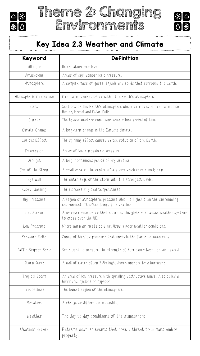





## Key Idea 2.3 Weather and Climate

| Keyword                 | <b>Definition</b>                                                                                                   |
|-------------------------|---------------------------------------------------------------------------------------------------------------------|
| Altitude                | Height above sea level                                                                                              |
| Anticyclone             | Areas of high atmospheric pressure.                                                                                 |
| Atmosphere              | A complex mass of gases, liquids and solids that surround the Earth.                                                |
| Atmospheric Circulation | Circular movement of air within the Earth's atmosphere.                                                             |
| Cells                   | Sections of the Earth's atmosphere where air moves in circular motion -<br>Hadley, Ferrel and Polar Cells.          |
| Climate                 | The typical weather conditions over a long period of time.                                                          |
| Climate Change          | A long-term change in the Earth's climate.                                                                          |
| Coriolis Effect         | The spinning effect caused by the rotation of the Earth.                                                            |
| Depression              | Areas of low atmospheric pressure.                                                                                  |
| Drought                 | A long, continuous period of dry weather.                                                                           |
| Eye of the Storm        | A small area at the centre of a storm which is relatively calm.                                                     |
| Eye Wall                | The outer edge of the storm with the strongest winds.                                                               |
| Global Warming          | The increase in global temperatures.                                                                                |
| High Pressure           | A region of atmospheric pressure which is higher than the surrounding<br>environment. It often brings fine weather. |
| Jet Stream              | A narrow ribbon of air that encircles the globe and causes weather systems<br>to cross over the UK.                 |
| Low Pressure            | Where warm air meets cold air. Usually poor weather conditions.                                                     |
| Pressure Belts          | Zones of high/low pressure that encircle the Earth between cells.                                                   |
| Saffir-Simpson Scale    | Scale used to measure the strength of hurricanes based on wind speed.                                               |
| Storm Surge             | A wall of water often 3-4m high, driven onshore by a hurricane.                                                     |
| Tropical Storm          | An area of low pressure with spiralling destructive winds. Also called a<br>hurricane, cyclone or typhoon.          |
| Troposphere             | The lowest region of the atmosphere.                                                                                |
| Variation               | A change or difference in condition.                                                                                |
| Weather                 | The day to day conditions of the atmosphere.                                                                        |
| Weather Hazard          | Extreme weather events that pose a threat to humans and/or<br>property.                                             |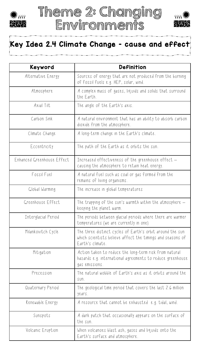





#### Key Idea 2.4 Climate Change – cause and effect

| Keyword                    | <b>Definition</b>                                                                                                                           |
|----------------------------|---------------------------------------------------------------------------------------------------------------------------------------------|
| Alternative Energy         | Sources of energy that are not produced from the burning<br>of fossil fuels e.g. HEP, solar, wind.                                          |
| Atmosphere                 | A complex mass of gases, liquids and solids that surround<br>the Earth.                                                                     |
| Axial Tilt                 | The angle of the Earth's axis.                                                                                                              |
| Carbon Sink                | A natural environment that has an ability to absorb carbon<br>dioxide from the atmosphere.                                                  |
| Climate Change             | A long-term change in the Earth's climate.                                                                                                  |
| Eccentricity               | The path of the Earth as it orbits the sun.                                                                                                 |
| Enhanced Greenhouse Effect | Increased effectiveness of the greenhouse effect -<br>causing the atmosphere to retain heat energy.                                         |
| Fossil Fuel                | A natural fuel such as coal or gas formed from the<br>remains of living organisms.                                                          |
| Global Warming             | The increase in global temperatures                                                                                                         |
| Greenhouse Effect          | The trapping of the sun's warmth within the atmosphere $-$<br>keeping the planet warm.                                                      |
| Interglacial Period        | The periods between glacial periods where there are warmer<br>temperatures (we are currently in one)                                        |
| Milankovitch Cycle         | The three distinct cycles of Earth's orbit around the sun<br>which scientists believe affect the timings and seasons of<br>Earth's climate. |
| Mitigation                 | Action taken to reduce the long-term risk from natural<br>hazards e.g. international agreements to reduce greenhouse<br>gas emissions.      |
| Precession                 | The natural wobble of Earth's axis as it orbits around the<br>SUN.                                                                          |
| Quaternary Period          | The geological time period that covers the last 2.6 million<br>years.                                                                       |
| Renewable Energy           | A resource that cannot be exhausted e.g. tidal, wind.                                                                                       |
| Sunspots                   | A dark patch that occasionally appears on the surface of<br>the sun.                                                                        |
| Volcanic Eruption          | When volcanoes blast ash, gases and liquids onto the<br>Earth's surface and atmosphere.                                                     |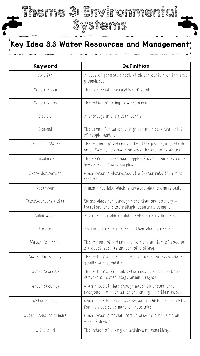Key Idea 3.3 Water Resources and Management

Systems

Theme 3: Environmental

| Keyword               | <b>Definition</b>                                                                                             |
|-----------------------|---------------------------------------------------------------------------------------------------------------|
| Aquifer               | A body of permeable rock which can contain or transmit<br>groundwater.                                        |
| Consumerism           | The increased consumption of goods.                                                                           |
| Consumption           | The action of using up a resource.                                                                            |
| Deficit               | A shortage in the water supply.                                                                               |
| Demand                | The desire for water. A high demand means that a lot<br>of people want it                                     |
| Embedded Water        | The amount of water used by other people, in factories<br>or on farms, to create or grow the products we use. |
| Imbalance             | The difference between supply of water. An area could<br>have a deficit or a surplus.                         |
| Over-Abstraction      | When water is abstracted at a faster rate than it is<br>recharged.                                            |
| Reservoir             | A man-made lake which is created when a dam is built.                                                         |
| Transboundary Water   | Rivers which run through more than one country -<br>therefore there are multiple countries using it.          |
| Salinisation          | A process by which soluble salts build up in the soil.                                                        |
| Surplus               | An amount which is greater than what is needed.                                                               |
| Water Footprint       | The amount of water used to make an item of food or<br>a product such as an item of clothing.                 |
| Water Insecurity      | The lack of a reliable source of water or appropriate<br>quality and quantity.                                |
| Water Scarcity        | The lack of sufficient water resources to meet the<br>demands of water usage within a region.                 |
| Water Security        | When a society has enough water to ensure that<br>everyone has clear water and enough for their needs.        |
| Water Stress          | When there is a shortage of water which creates risks<br>for individuals, farmers or industries.              |
| Water Transfer Scheme | When water is moved from an area of surplus to an<br>area of deficit.                                         |
| Withdrawal            | The action of taking or withdrawing something.                                                                |